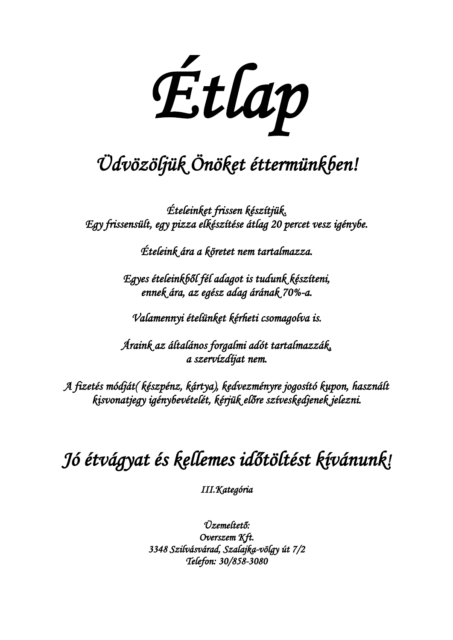*Étlap* 

# *Üdvözöljük Önöket éttermünkben!*

*Ételeinket frissen készítjük. Egy frissensült, egy pizza elkészítése átlag 20 percet vesz igénybe.* 

*Ételeink ára a köretet nem tartalmazza.* 

*Egyes ételeinkből fél adagot is tudunk készíteni, ennek ára, az egész adag árának 70%-a.* 

*Valamennyi ételünket kérheti csomagolva is.* 

*Áraink az általános forgalmi adót tartalmazzák, a szervízdíjat nem.* 

*A fizetés módját( készpénz, kártya), kedvezményre jogosító kupon, használt kisvonatjegy igénybevételét, kérjük előre szíveskedjenek jelezni.* 

# *Jó étvágyat és kellemes időtöltést kívánunk!*

*III.Kategória* 

*Üzemeltető: Overszem Kft. 3348 Szilvásvárad, Szalajka-völgy út 7/2 Telefon: 30/858-3080*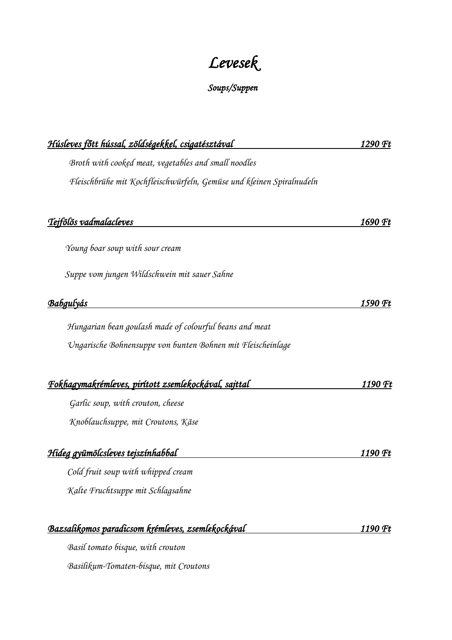# *Levesek*

#### *Soups/Suppen*

| <u>Húsleves főtt hússal, zöldségekkel, csigatésztával </u>           | 1290 Ft |
|----------------------------------------------------------------------|---------|
| Broth with cooked meat, vegetables and small noodles                 |         |
| Fleischbrühe mit Kochfleischwürfeln, Gemüse und kleinen Spiralnudeln |         |
| <u>Tejfölös vadmalacleves</u>                                        | 1690 Ft |
| Young boar soup with sour cream                                      |         |
| Suppe vom jungen Wildschwein mit sauer Sahne                         |         |
| Babgulyás                                                            | 1590 Ft |
| Hungarian bean goulash made of colourful beans and meat              |         |
| Ungarische Bohnensuppe von bunten Bohnen mit Fleischeinlage          |         |
| <u>Fokhagymakrémleves, pirított zsemlekockával, sajttal </u>         | 1190 Ft |
| Garlic soup, with crouton, cheese                                    |         |
| Knoblauchsuppe, mit Croutons, Käse                                   |         |
| <u>Hideg gyümölcsleves tejszínhabbal</u>                             | 1190 Ft |
| Cold fruit soup with whipped cream                                   |         |
| Kalte Fruchtsuppe mit Schlagsahne                                    |         |
| <u>Bazsalikomos paradicsom krémleves, zsemlekockával </u>            | 1190 Ft |
| Basil tomato bisque, with crouton                                    |         |
| Basilikum-Tomaten-bisque, mit Croutons                               |         |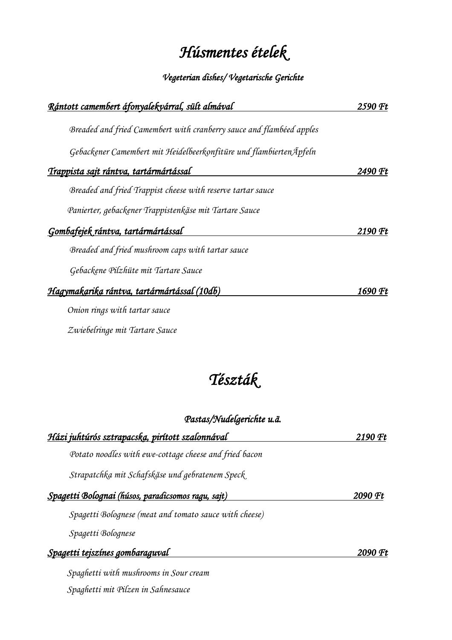## *Húsmentes ételek*

#### *Vegeterian dishes/ Vegetarische Gerichte*

| Rántott camembert áfonyalekvárral, sült almával                      | 2590 Ft |
|----------------------------------------------------------------------|---------|
| Breaded and fried Camembert with cranberry sauce and flambéed apples |         |
| Gebackener Camembert mit Heidelbeerkonfitüre und flambierten Äpfeln  |         |
| <u>Trappista sajt rántva, tartármártással</u>                        | 2490 Ft |
| Breaded and fried Trappist cheese with reserve tartar sauce          |         |
| Panierter, gebackener Trappistenkäse mit Tartare Sauce               |         |
| <u>Gombafejek rántva, tartármártással</u>                            | 2190 Ft |
| Breaded and fried mushroom caps with tartar sauce                    |         |
| Gebackene Pilzhüte mit Tartare Sauce                                 |         |
| Hagymakarika rántva, tartármártással (10db)                          | 1690 Ft |
| Onion rings with tartar sauce                                        |         |
| Zwiebelringe mit Tartare Sauce                                       |         |

## *Tészták*

#### *Pastas/Nudelgerichte u.ä.*

| <u>Házi juhtúrós sztrapacska, pirított szalonnával</u> | 2190 Ft |
|--------------------------------------------------------|---------|
| Potato noodles with ewe-cottage cheese and fried bacon |         |
| Strapatchka mit Schafskäse und gebratenem Speck        |         |
| Spagetti Bolognai (húsos, paradicsomos ragu, sajt)     | 2090 Ft |
| Spagetti Bolognese (meat and tomato sauce with cheese) |         |
| Spagetti Bolognese                                     |         |
| <u>Spagetti tejszínes gombaraguval</u>                 | 2090 Ft |
| Spaghetti with mushrooms in Sour cream                 |         |
| Spaghetti mit Pilzen in Sahnesauce                     |         |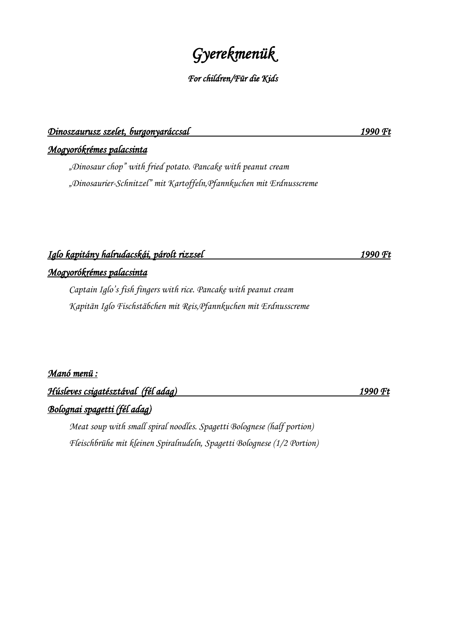## *Gyerekmenük*

#### *For children/Für die Kids*

#### *Dinoszaurusz szelet, burgonyaráccsal 1990 Ft*

*Mogyorókrémes palacsinta* 

*"Dinosaur chop" with fried potato. Pancake with peanut cream "Dinosaurier-Schnitzel" mit Kartoffeln,Pfannkuchen mit Erdnusscreme*

### *Iglo kapitány halrudacskái, párolt rizzsel 1990 Ft Mogyorókrémes palacsinta*

*Captain Iglo's fish fingers with rice. Pancake with peanut cream Kapitän Iglo Fischstäbchen mit Reis,Pfannkuchen mit Erdnusscreme*

#### *Manó menü :*

*Húsleves csigatésztával (fél adag) 1990 Ft* 

#### *Bolognai spagetti (fél adag)*

 *Meat soup with small spiral noodles. Spagetti Bolognese (half portion) Fleischbrühe mit kleinen Spiralnudeln, Spagetti Bolognese (1/2 Portion)*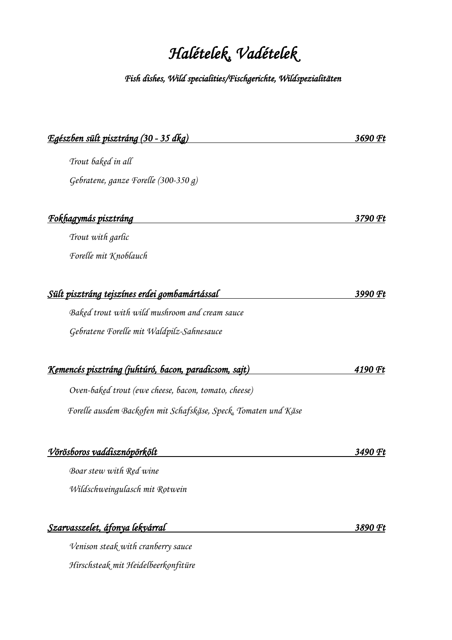# *Halételek, Vadételek*

#### *Fish dishes, Wild specialities/Fischgerichte, Wildspezialitäten*

| <u> Egészben sült pisztráng (30 - 35 dkg)</u>                   | 3690 Ft |
|-----------------------------------------------------------------|---------|
| Trout baked in all                                              |         |
| Gebratene, ganze Forelle (300-350 g)                            |         |
|                                                                 |         |
| <u>Fokhagymás pisztráng</u>                                     | 3790 Ft |
| Trout with garlic                                               |         |
| Forelle mit Knoblauch                                           |         |
|                                                                 |         |
| <u>Sült pisztráng tejszínes erdei gombamártással </u>           | 3990 Ft |
| Baked trout with wild mushroom and cream sauce                  |         |
| Gebratene Forelle mit Waldpilz-Sahnesauce                       |         |
|                                                                 |         |
| <u>Kemencés pisztráng (juhtúró, bacon, paradicsom, sajt)</u>    | 4190 Ft |
| Oven-baked trout (ewe cheese, bacon, tomato, cheese)            |         |
| Forelle ausdem Backofen mit Schafskäse, Speck, Tomaten und Käse |         |
|                                                                 |         |
| <u>Vörösboros vaddisznópörkölt</u>                              | 3490 Ft |
| Boar stew with Red wine                                         |         |
| Wildschweingulasch mit Rotwein                                  |         |
| Szarvasszelet, áfonya lekvárral                                 | 3890 Ft |

*Venison steak with cranberry sauce Hirschsteak mit Heidelbeerkonfitüre*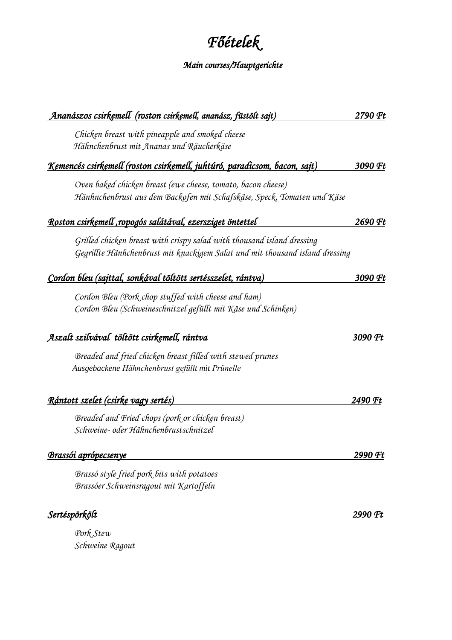# *Főételek*

### *Main courses/Hauptgerichte*

| <u>Ananászos csirkemell (roston csirkemell, ananász, füstölt sajt)</u>                                                                                 | 2790 Ft |
|--------------------------------------------------------------------------------------------------------------------------------------------------------|---------|
| Chicken breast with pineapple and smoked cheese                                                                                                        |         |
| Hähnchenbrust mit Ananas und Räucherkäse                                                                                                               |         |
| <u>Kemencés csirkemell (roston csirkemell, juhtúró, paradicsom, bacon, sajt)</u>                                                                       | 3090 Ft |
| Oven baked chicken breast (ewe cheese, tomato, bacon cheese)<br>Hänhnchenbrust aus dem Backofen mit Schafskäse, Speck, Tomaten und Käse                |         |
| <u> Roston csirkemell ,ropogós salátával, ezersziget öntettel </u>                                                                                     | 2690 Ft |
| Grilled chicken breast with crispy salad with thousand island dressing<br>Gegrillte Hänhchenbrust mit knackigem Salat und mit thousand island dressing |         |
| Cordon bleu (sajttal, sonkával töltött sertésszelet, rántva)                                                                                           | 3090 Ft |
| Cordon Bleu (Pork chop stuffed with cheese and ham)                                                                                                    |         |
| Cordon Bleu (Schweineschnitzel gefüllt mit Käse und Schinken)                                                                                          |         |
| <u>Aszalt szilvával töltött csirkemell, rántva</u>                                                                                                     | 3090 Ft |
| Breaded and fried chicken breast filled with stewed prunes                                                                                             |         |
| Ausgebackene Hähnchenbrust gefüllt mit Prünelle                                                                                                        |         |
| <u> Rántott szelet (csirke vagy sertés)</u>                                                                                                            | 2490 Ft |
| Breaded and Fried chops (pork or chicken breast)                                                                                                       |         |
| Schweine- oder Hähnchenbrustschnitzel                                                                                                                  |         |
| Brassói aprópecsenye                                                                                                                                   | 2990 Ft |
| Brassó style fried pork bits with potatoes                                                                                                             |         |
| Brassóer Schweinsragout mit Kartoffeln                                                                                                                 |         |
| Sertéspörkölt                                                                                                                                          | 2990 Ft |
| Pork Stew                                                                                                                                              |         |

*Schweine Ragout*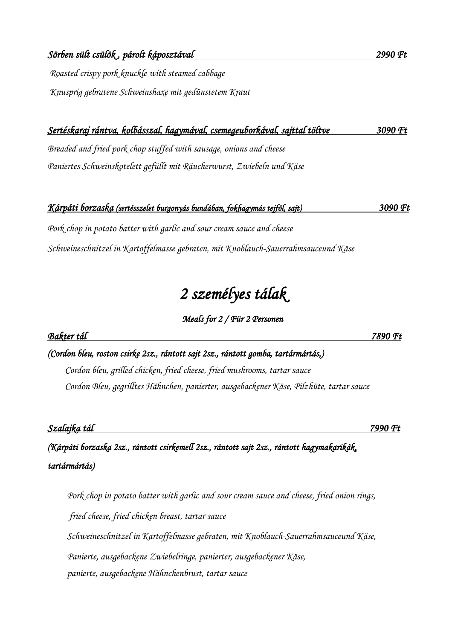*Knusprig gebratene Schweinshaxe mit gedünstetem Kraut*

## *Sertéskaraj rántva, kolbásszal, hagymával, csemegeuborkával, sajttal töltve 3090 Ft*

*Breaded and fried pork chop stuffed with sausage, onions and cheese Paniertes Schweinskotelett gefüllt mit Räucherwurst, Zwiebeln und Käse*

#### *Kárpáti borzaska (sertésszelet burgonyás bundában, fokhagymás tejföl, sajt) 3090 Ft*

*Pork chop in potato batter with garlic and sour cream sauce and cheese Schweineschnitzel in Kartoffelmasse gebraten, mit Knoblauch-Sauerrahmsauceund Käse*

### *2 személyes tálak*

#### *Meals for 2 / Für 2 Personen*

*(Cordon bleu, roston csirke 2sz., rántott sajt 2sz., rántott gomba, tartármártás,) Cordon bleu, grilled chicken, fried cheese, fried mushrooms, tartar sauce Cordon Bleu, gegrilltes Hähnchen, panierter, ausgebackener Käse, Pilzhüte, tartar sauce*

*Szalajka tál 7990 Ft* 

*(Kárpáti borzaska 2sz., rántott csirkemell 2sz., rántott sajt 2sz., rántott hagymakarikák, tartármártás)* 

 *Pork chop in potato batter with garlic and sour cream sauce and cheese, fried onion rings, fried cheese, fried chicken breast, tartar sauce Schweineschnitzel in Kartoffelmasse gebraten, mit Knoblauch-Sauerrahmsauceund Käse, Panierte, ausgebackene Zwiebelringe, panierter, ausgebackener Käse, panierte, ausgebackene Hähnchenbrust, tartar sauce*

*Bakter tál 7890 Ft*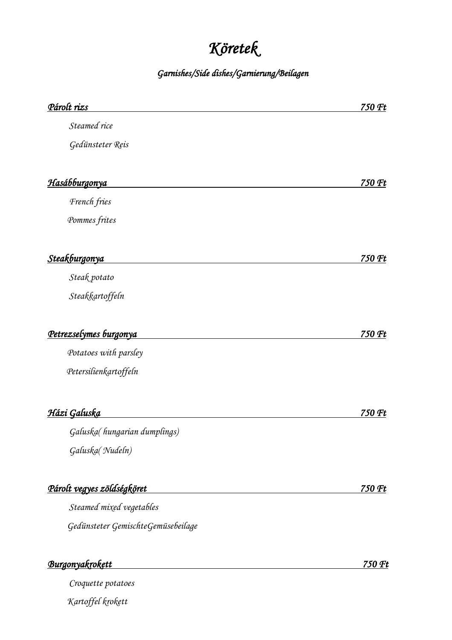# *Köretek*

*Garnishes/Side dishes/Garnierung/Beilagen* 

| Párolt rizs                        | 750 Ft |
|------------------------------------|--------|
| Steamed rice                       |        |
| Gedünsteter Reis                   |        |
|                                    |        |
| <u>Hasábburgonya</u>               | 750 Ft |
| French fries                       |        |
| Pommes frites                      |        |
| Steakburgonya                      | 750 Ft |
| Steak potato                       |        |
| Steakkartoffeln                    |        |
| Petrezselymes burgonya             | 750 Ft |
| Potatoes with parsley              |        |
| Petersilienkartoffeln              |        |
| <u>Házi Galuska</u>                | 750 Ft |
| Galuska(hungarian dumplings)       |        |
| Galuska(Nudeln)                    |        |
| <u>Párolt vegyes zöldségköret</u>  | 750 Ft |
| Steamed mixed vegetables           |        |
| Gedünsteter GemischteGemüsebeilage |        |
| Burgonyakrokett                    | 750 Ft |
| Croquette potatoes                 |        |

 *Kartoffel krokett*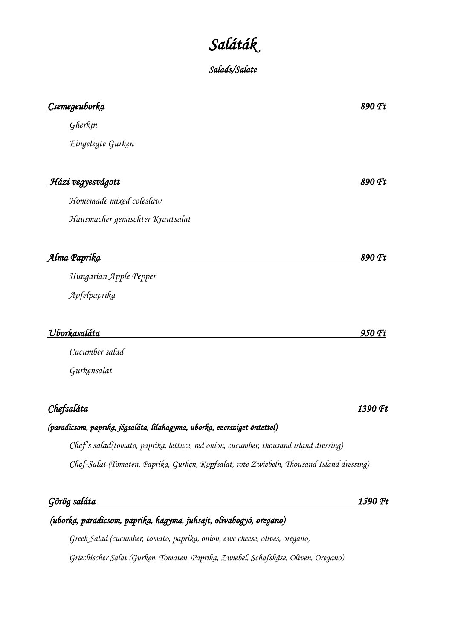# *Saláták*

*Salads/Salate* 

| <u>Csemegeuborka</u>                                                                      | 890 Ft  |
|-------------------------------------------------------------------------------------------|---------|
| Gherkin                                                                                   |         |
| Eingelegte Gurken                                                                         |         |
| Házi vegyesvágott                                                                         | 890 Ft  |
| Homemade mixed coleslaw                                                                   |         |
| Hausmacher gemischter Krautsalat                                                          |         |
| <u>Alma Paprika</u>                                                                       | 890 Ft  |
| Hungarian Apple Pepper                                                                    |         |
| Apfelpaprika                                                                              |         |
| <u> Uborkasaláta</u>                                                                      | 950 Ft  |
| Cucumber salad                                                                            |         |
| Gurkensalat                                                                               |         |
| Chefsaláta                                                                                | 1390 Ft |
| (paradicsom, paprika, jégsaláta, lilahagyma, uborka, ezersziget öntettel)                 |         |
| Chef's salad(tomato, paprika, lettuce, red onion, cucumber, thousand island dressing)     |         |
| Chef-Salat (Tomaten, Paprika, Gurken, Kopfsalat, rote Zwiebeln, Thousand Island dressing) |         |
| <u>Görög saláta</u>                                                                       | 1590 Ft |
| (uborka, paradicsom, paprika, hagyma, juhsajt, olivabogyó, oregano)                       |         |
| Greek Salad (cucumber, tomato, paprika, onion, ewe cheese, olives, oregano)               |         |

*Griechischer Salat (Gurken, Tomaten, Paprika, Zwiebel, Schafskäse, Oliven, Oregano)*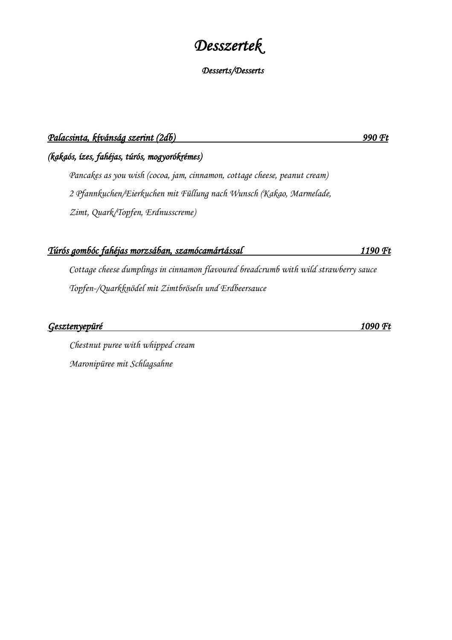### *Desszertek*

#### *Desserts/Desserts*

#### *Palacsinta, kívánság szerint (2db) 990 Ft*

*(kakaós, ízes, fahéjas, túrós, mogyorókrémes)*

*Pancakes as you wish (cocoa, jam, cinnamon, cottage cheese, peanut cream) 2 Pfannkuchen/Eierkuchen mit Füllung nach Wunsch (Kakao, Marmelade, Zimt, Quark/Topfen, Erdnusscreme)*

#### *Túrós gombóc fahéjas morzsában, szamócamártással 1190 Ft*

*Cottage cheese dumplings in cinnamon flavoured breadcrumb with wild strawberry sauce Topfen-/Quarkknödel mit Zimtbröseln und Erdbeersauce*

*Gesztenyepüré 1090 Ft* 

 *Chestnut puree with whipped cream Maronipüree mit Schlagsahne*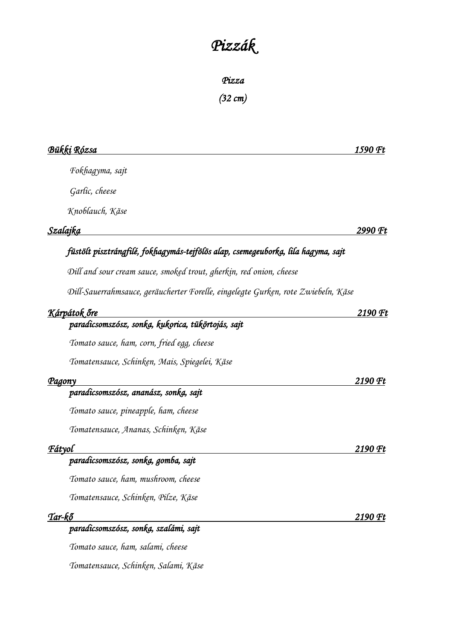# *Pizzák*

*Pizza (32 cm)* 

| Bükki Rózsa                                                                       | 1590 Ft |
|-----------------------------------------------------------------------------------|---------|
| Fokhagyma, sajt                                                                   |         |
| Garlic, cheese                                                                    |         |
| Knoblauch, Käse                                                                   |         |
| Szalajka                                                                          | 2990 Ft |
| füstölt pisztrángfilé, fokhagymás-tejfölös alap, csemegeuborka, lila hagyma, sajt |         |
| Dill and sour cream sauce, smoked trout, gherkin, red onion, cheese               |         |
| Dill-Sauerrahmsauce, geräucherter Forelle, eingelegte Gurken, rote Zwiebeln, Käse |         |
| Kárpátok őre                                                                      | 2190 Ft |
| paradicsomszósz, sonka, kukorica, tükörtojás, sajt                                |         |
| Tomato sauce, ham, corn, fried egg, cheese                                        |         |
| Tomatensauce, Schinken, Mais, Spiegelei, Käse                                     |         |
| <u>Pagony</u>                                                                     | 2190 Ft |
| paradicsomszósz, ananász, sonka, sajt                                             |         |
| Tomato sauce, pineapple, ham, cheese                                              |         |
| Tomatensauce, Ananas, Schinken, Käse                                              |         |
| Fátyol                                                                            | 2190 Ft |
| paradicsomszósz, sonka, gomba, sajt                                               |         |
| Tomato sauce, ham, mushroom, cheese                                               |         |
| Tomatensauce, Schinken, Pilze, Käse                                               |         |
| Tar-kő                                                                            | 2190 Ft |
| paradicsomszósz, sonką, szalámi, sajt                                             |         |
| Tomato sauce, ham, salami, cheese                                                 |         |

*Tomatensauce, Schinken, Salami, Käse*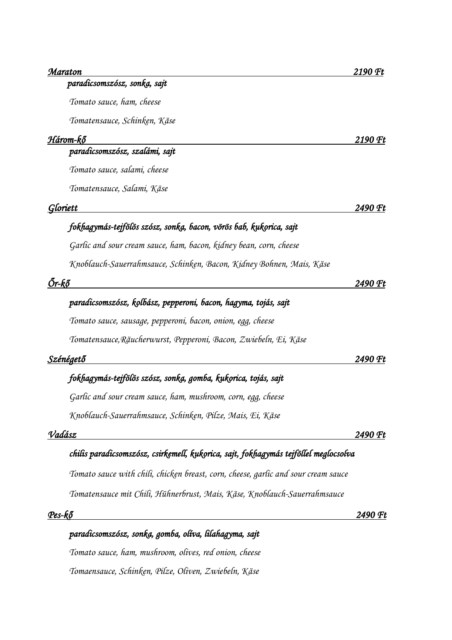| 2190 Ft |
|---------|
|         |
|         |
|         |
|         |

#### *Három-kő 2190 Ft*

#### *paradicsomszósz, szalámi, sajt*

*Tomato sauce, salami, cheese*

*Tomatensauce, Salami, Käse*

#### *Gloriett 2490 Ft*

#### *fokhagymás-tejfölös szósz, sonka, bacon, vörös bab, kukorica, sajt*

*Garlic and sour cream sauce, ham, bacon, kidney bean, corn, cheese*

*Knoblauch-Sauerrahmsauce, Schinken, Bacon, Kidney Bohnen, Mais, Käse*

#### *Őr-kő 2490 Ft*

#### *paradicsomszósz, kolbász, pepperoni, bacon, hagyma, tojás, sajt*

*Tomato sauce, sausage, pepperoni, bacon, onion, egg, cheese*

*Tomatensauce,Räucherwurst, Pepperoni, Bacon, Zwiebeln, Ei, Käse*

| Szénégető | 2400.<br>Œ1<br>. |
|-----------|------------------|
|           |                  |

#### *fokhagymás-tejfölös szósz, sonka, gomba, kukorica, tojás, sajt*

*Garlic and sour cream sauce, ham, mushroom, corn, egg, cheese*

*Knoblauch-Sauerrahmsauce, Schinken, Pilze, Mais, Ei, Käse*

#### *Vadász 2490 Ft*

#### *chilis paradicsomszósz, csirkemell, kukorica, sajt, fokhagymás tejföllel meglocsolva*

*Tomato sauce with chili, chicken breast, corn, cheese, garlic and sour cream sauce*

*Tomatensauce mit Chili, Hühnerbrust, Mais, Käse, Knoblauch-Sauerrahmsauce*

*Pes-kő 2490 Ft* 

### *paradicsomszósz, sonka, gomba, olíva, lilahagyma, sajt Tomato sauce, ham, mushroom, olives, red onion, cheese Tomaensauce, Schinken, Pilze, Oliven, Zwiebeln, Käse*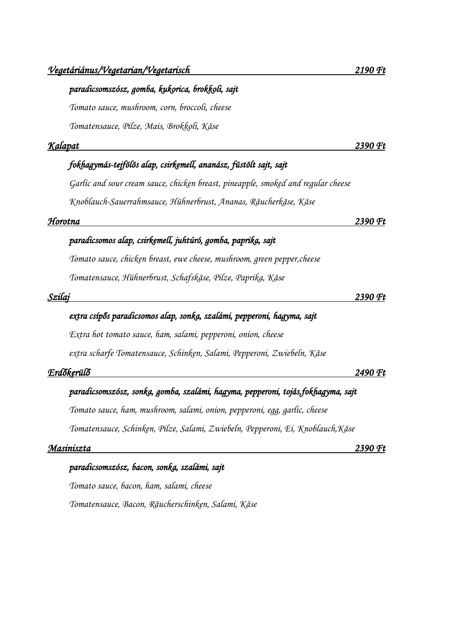#### *paradicsomszósz, gomba, kukorica, brokkoli, sajt*

*Tomato sauce, mushroom, corn, broccoli, cheese Tomatensauce, Pilze, Mais, Brokkoli, Käse*

#### *Kalapat 2390 Ft*

#### *fokhagymás-tejfölös alap, csirkemell, ananász, füstölt sajt, sajt*

*Garlic and sour cream sauce, chicken breast, pineapple, smoked and regular cheese Knoblauch-Sauerrahmsauce, Hühnerbrust, Ananas, Räucherkäse, Käse*

#### *Horotna 2390 Ft*

#### *paradicsomos alap, csirkemell, juhtúró, gomba, paprika, sajt*

*Tomato sauce, chicken breast, ewe cheese, mushroom, green pepper,cheese Tomatensauce, Hühnerbrust, Schafskäse, Pilze, Paprika, Käse*

#### *Szilaj 2390 Ft*

#### *extra csípős paradicsomos alap, sonka, szalámi, pepperoni, hagyma, sajt*

*Extra hot tomato sauce, ham, salami, pepperoni, onion, cheese*

*extra scharfe Tomatensauce, Schinken, Salami, Pepperoni, Zwiebeln, Käse*

#### *Erdőkerülő 2490 Ft*

#### *paradicsomszósz, sonka, gomba, szalámi, hagyma, pepperoni, tojás,fokhagyma, sajt*

*Tomato sauce, ham, mushroom, salami, onion, pepperoni, egg, garlic, cheese*

*Tomatensauce, Schinken, Pilze, Salami, Zwiebeln, Pepperoni, Ei, Knoblauch,Käse*

#### *Masiniszta 2390 Ft*

#### *paradicsomszósz, bacon, sonka, szalámi, sajt*

*Tomato sauce, bacon, ham, salami, cheese Tomatensauce, Bacon, Räucherschinken, Salami, Käse*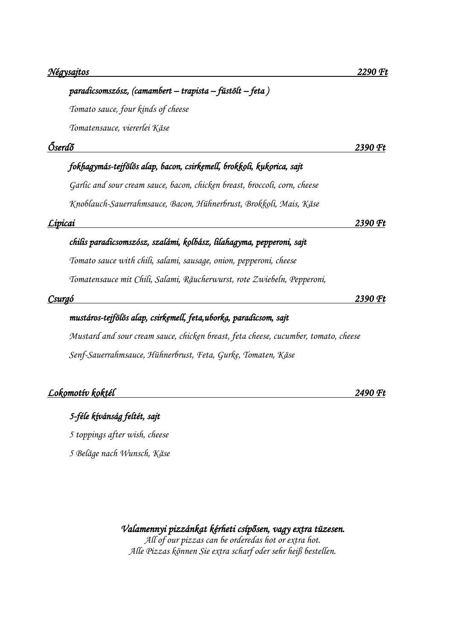|         | paradicsomszósz, (camambert – trapista – füstölt – feta)                            |         |
|---------|-------------------------------------------------------------------------------------|---------|
|         | Tomato sauce, four kinds of cheese                                                  |         |
|         | Tomatensauce, viererlei Käse                                                        |         |
| Őserdő  |                                                                                     | 2390 Ft |
|         | fokhagymás-tejfölös alap, bacon, csirkemell, brokkoli, kukorica, sajt               |         |
|         | Garlic and sour cream sauce, bacon, chicken breast, broccoli, corn, cheese          |         |
|         | Knoblauch-Sauerrahmsauce, Bacon, Hühnerbrust, Brokkoli, Mais, Käse                  |         |
| Lipicai |                                                                                     | 2390 Ft |
|         | chilis paradicsomszósz, szalámi, kolbász, lilahagyma, pepperoni, sajt               |         |
|         | Tomato sauce with chili, salami, sausage, onion, pepperoni, cheese                  |         |
|         | Tomatensauce mit Chili, Salami, Räucherwurst, rote Zwiebeln, Pepperoni,             |         |
| Csurgó  |                                                                                     | 2390 Ft |
|         | mustáros-tejfölös alap, csirkemell, feta,uborka, paradicsom, sajt                   |         |
|         | Mustard and sour cream sauce, chicken breast, feta cheese, cucumber, tomato, cheese |         |
|         | Senf-Sauerrahmsauce, Hühnerbrust, Feta, Gurke, Tomaten, Käse                        |         |
|         | Lokomotív koktél                                                                    | 2490 Ft |

#### *5-féle kívánság feltét, sajt*

*5 toppings after wish, cheese*

*5 Beläge nach Wunsch, Käse*

*Valamennyi pizzánkat kérheti csípősen, vagy extra tüzesen. All of our pizzas can be orderedas hot or extra hot. Alle Pizzas können Sie extra scharf oder sehr heiß bestellen.*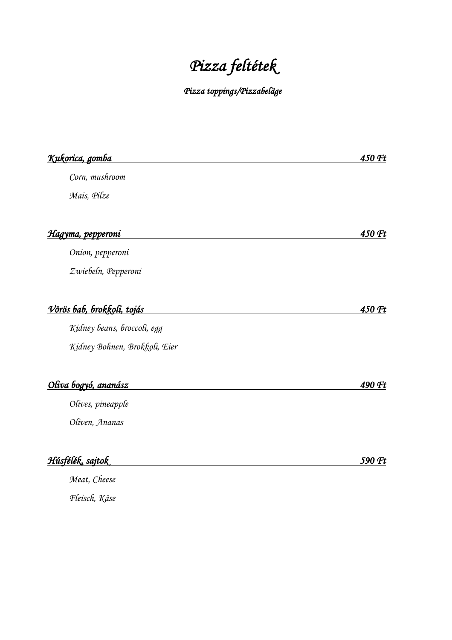# *Pizza feltétek*

*Pizza toppings/Pizzabeläge* 

| <u>Kukorica, gomba</u>             | 450 Ft |
|------------------------------------|--------|
| Corn, mushroom                     |        |
| Mais, Pilze                        |        |
|                                    |        |
| <u>Hagyma, pepperoni</u>           | 450 Ft |
| Onion, pepperoni                   |        |
| Zwiebeln, Pepperoni                |        |
| <u>Vörös bab, brokkoli, tojás </u> | 450 Ft |
| Kidney beans, broccoli, egg        |        |
| Kidney Bohnen, Brokkoli, Eier      |        |
| Oliva bogyó, ananász               | 490 Ft |
| Olives, pineapple                  |        |
| Oliven, Ananas                     |        |
| Húsfélék, sajtok                   | 590 Ft |
| Meat, Cheese                       |        |

*Fleisch, Käse*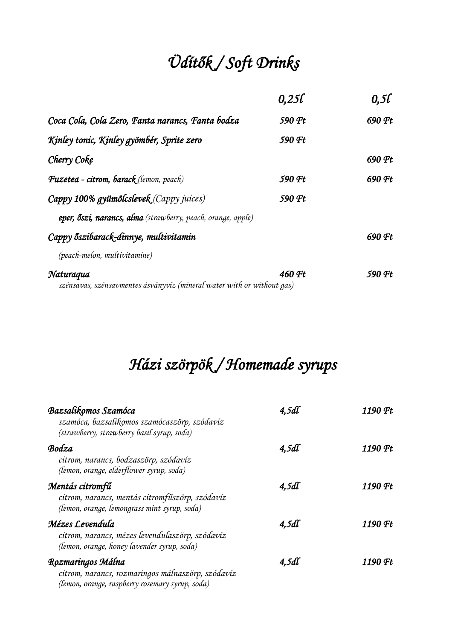# *Üdítők / Soft Drinks*

|                                                                                     | 0,250  | 0,5l   |
|-------------------------------------------------------------------------------------|--------|--------|
| Coca Cola, Cola Zero, Fanta narancs, Fanta bodza                                    | 590 Ft | 690 Ft |
| Kinley tonic, Kinley gyömbér, Sprite zero                                           | 590 Ft |        |
| Cherry Coke                                                                         |        | 690 Ft |
| <b>Fuzetea</b> - citrom, barack (lemon, peach)                                      | 590 Ft | 690 Ft |
| Cappy 100% gyümölcslevek (Cappy juices)                                             | 590 Ft |        |
| eper, őszi, narancs, alma (strawberry, peach, orange, apple)                        |        |        |
| Cappy őszibarack-dinnye, multivitamin                                               |        | 690 Ft |
| (peach-melon, multivitamine)                                                        |        |        |
| Naturaqua<br>szénsavas, szénsavmentes ásványvíz (mineral water with or without gas) | 460 Ft | 590 Ft |

# *Házi szörpök / Homemade syrups*

| Bazsalikomos Szamóca<br>szamóca, bazsalikomos szamócaszörp, szódavíz<br>(strawberry, strawberry basil syrup, soda)        | 4.5dl | 1190 Ft |
|---------------------------------------------------------------------------------------------------------------------------|-------|---------|
| Bodza<br>citrom, narancs, bodzaszörp, szódavíz<br>(lemon, orange, elderflower syrup, soda)                                | 4.5dl | 1190 Ft |
| Mentás citromfű<br>citrom, narancs, mentás citromfűszörp, szódavíz<br>(lemon, orange, lemongrass mint syrup, soda)        | 4.5dl | 1190 Ft |
| Mézes Levendula<br>citrom, narancs, mézes levendulaszörp, szódavíz<br>(lemon, orange, honey lavender syrup, soda)         | 4,5dl | 1190 Ft |
| Rozmaringos Málna<br>citrom, narancs, rozmaringos málnaszörp, szódavíz<br>(lemon, orange, raspberry rosemary syrup, soda) | 4.5dl | 1190 Ft |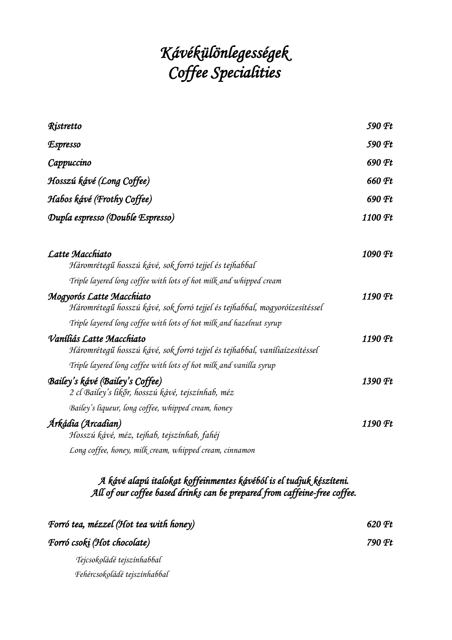# *Kávékülönlegességek Coffee Specialities*

| Ristretto                                                                                                                    | 590 Ft  |
|------------------------------------------------------------------------------------------------------------------------------|---------|
| <i><b>Espresso</b></i>                                                                                                       | 590 Ft  |
| Cappuccino                                                                                                                   | 690 Ft  |
| Hosszú kávé (Long Coffee)                                                                                                    | 660 Ft  |
| Habos kávé (Frothy Coffee)                                                                                                   | 690 Ft  |
| Dupla espresso (Double Espresso)                                                                                             | 1100 Ft |
| Latte Macchiato<br>Háromrétegű hosszú kávé, sok forró tejjel és tejhabbal                                                    | 1090 Ft |
| Triple layered long coffee with lots of hot milk and whipped cream                                                           |         |
| Mogyorós Latte Macchiato<br>Háromrétegű hosszú kávé, sok forró tejjel és tejhabbal, mogyoróízesítéssel                       | 1190 Ft |
| Triple layered long coffee with lots of hot milk and hazelnut syrup                                                          |         |
| Vaníliás Latte Macchiato<br>Háromrétegű hosszú kávé, sok forró tejjel és tejhabbal, vaníliaízesítéssel                       | 1190 Ft |
| Triple layered long coffee with lots of hot milk and vanilla syrup                                                           |         |
| Bailey's kávé (Bailey's Coffee)<br>2 cl Bailey's likőr, hosszú kávé, tejszínhab, méz                                         | 1390 Ft |
| Bailey's liqueur, long coffee, whipped cream, honey                                                                          |         |
| Árkádia (Arcadian)<br>Hosszú kávé, méz, tejhab, tejszínhab, fahéj<br>Long coffee, honey, milk cream, whipped cream, cinnamon | 1190 Ft |
|                                                                                                                              |         |

#### *A kávé alapú italokat koffeinmentes kávéból is el tudjuk készíteni. All of our coffee based drinks can be prepared from caffeine-free coffee.*

| Forró tea, mézzel (Hot tea with honey) | 620 Ft |
|----------------------------------------|--------|
| Forró csoki (Hot chocolate)            | 790 Ft |
| Tejcsokoládé tejszínhabbal             |        |
| Fehércsokoládé tejszínhabbal           |        |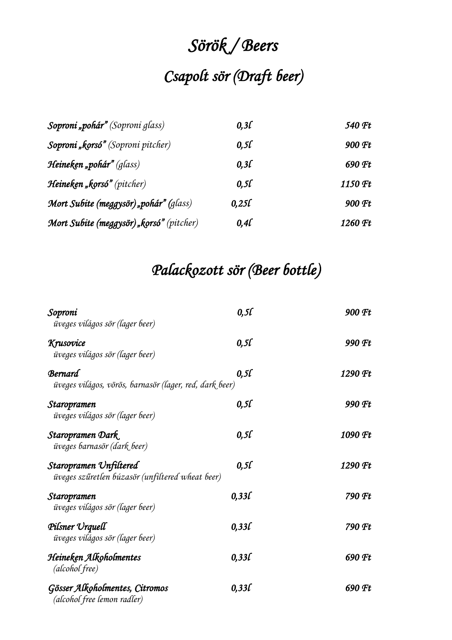# *Sörök / Beers Csapolt sör (Draft beer)*

| Soproni "pohár" (Soproni glass)          | 0.3 <i>L</i>     | 540 Ft  |
|------------------------------------------|------------------|---------|
| Soproni "korsó" (Soproni pitcher)        | $0,5\ell$        | 900 Ft  |
| <b>Heineken "pohár"</b> (glass)          | 0.3 <sub>L</sub> | 690 Ft  |
| Heineken "korsó" (pitcher)               | 0,50             | 1150 Ft |
| Mort Subite (meggysör) "pohár" (glass)   | 0.25f            | 900 Ft  |
| Mort Subite (meggysör) "korsó" (pitcher) | $0,4\ell$        | 1260 Ft |

### *Palackozott sör (Beer bottle)*

| Soproni<br>üveges világos sör (lager beer)                                 | 0,50  | 900 Ft  |
|----------------------------------------------------------------------------|-------|---------|
| Krusovice<br>üveges világos sör (lager beer)                               | 0,5l  | 990 Ft  |
| <b>Bernard</b><br>üveges világos, vörös, barnasör (lager, red, dark beer)  | 0.50  | 1290 Ft |
| Staropramen<br>üveges világos sör (lager beer)                             | 0,5L  | 990 Ft  |
| Staropramen Dark<br>üveges barnasör (dark beer)                            | 0,5l  | 1090 Ft |
| Staropramen Unfiltered<br>üveges szűretlen búzasör (unfiltered wheat beer) | 0,5l  | 1290 Ft |
| Staropramen<br>üveges világos sör (lager beer)                             | 0,330 | 790 Ft  |
| Pilsner Urquell<br>üveges világos sör (lager beer)                         | 0,330 | 790 Ft  |
| Heineken Alkoholmentes<br>(alcohol free)                                   | 0,330 | 690 Ft  |
| Gösser Alkoholmentes, Citromos<br>(alcohol free lemon radler)              | 0,330 | 690 Ft  |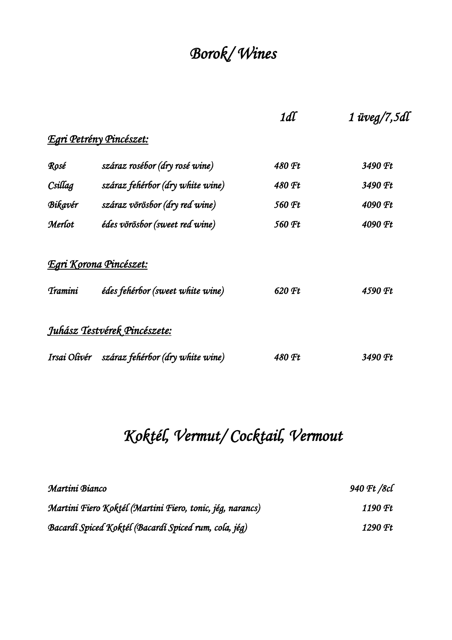# *Borok/ Wines*

|                |                                  | 1dl    | $1$ üveg/7,5dl |
|----------------|----------------------------------|--------|----------------|
|                | <u>Egri Petrény Pincészet:</u>   |        |                |
| Rosé           | száraz rosébor (dry rosé wine)   | 480 Ft | 3490 Ft        |
| Csillag        | száraz fehérbor (dry white wine) | 480 Ft | 3490 Ft        |
| Bikavér        | száraz vörösbor (dry red wine)   | 560 Ft | 4090 Ft        |
| Merlot         | édes vörösbor (sweet red wine)   | 560 Ft | 4090 Ft        |
|                | <u>Egri Korona Pincészet:</u>    |        |                |
| <b>Tramini</b> | édes fehérbor (sweet white wine) | 620 Ft | 4590 Ft        |
|                | Juhász Testvérek Pincészete:     |        |                |
| Irsai Olivér   | száraz fehérbor (dry white wine) | 480 Ft | 3490 Ft        |

# *Koktél, Vermut/ Cocktail, Vermout*

| Martini Bianco                                            | 940 Ft /8cl |
|-----------------------------------------------------------|-------------|
| Martini Fiero Koktél (Martini Fiero, tonic, jég, narancs) | 1190 Ft     |
| Bacardí Spiced Koktél (Bacardí Spiced rum, cola, jég)     | 1290 Ft     |